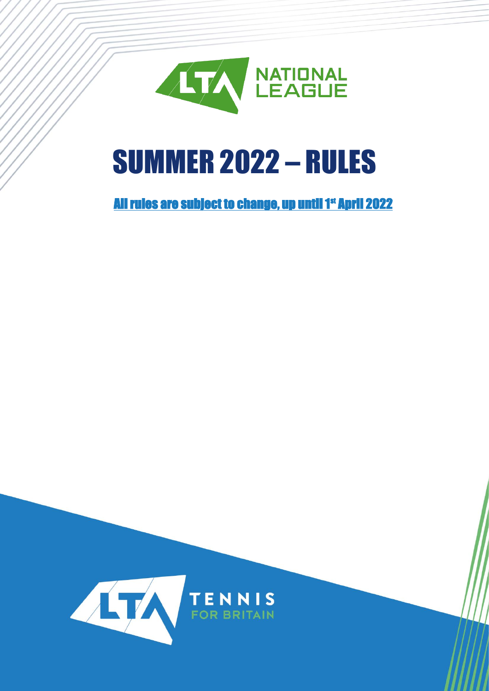

# SUMMER 2022 – RULES

# All rules are subject to change, up until 1st April 2022

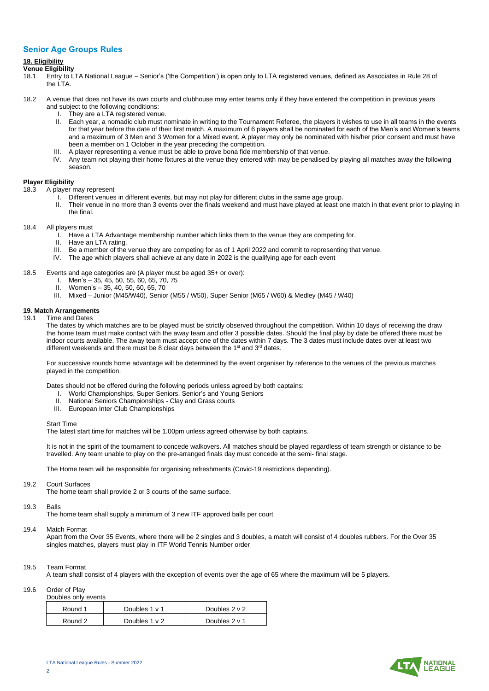## **Senior Age Groups Rules**

## **18. Eligibility**

### **Venue Eligibility**

- 18.1 Entry to LTA National League Senior's ('the Competition') is open only to LTA registered venues, defined as Associates in Rule 28 of the LTA.
- 18.2 A venue that does not have its own courts and clubhouse may enter teams only if they have entered the competition in previous years and subject to the following conditions:
	- I. They are a LTA registered venue.
	- II. Each year, a nomadic club must nominate in writing to the Tournament Referee, the players it wishes to use in all teams in the events for that year before the date of their first match. A maximum of 6 players shall be nominated for each of the Men's and Women's teams and a maximum of 3 Men and 3 Women for a Mixed event. A player may only be nominated with his/her prior consent and must have been a member on 1 October in the year preceding the competition.
	- III. A player representing a venue must be able to prove bona fide membership of that venue.
	- IV. Any team not playing their home fixtures at the venue they entered with may be penalised by playing all matches away the following season.

#### **Player Eligibility**

- 18.3 A player may represent
	- I. Different venues in different events, but may not play for different clubs in the same age group.
	- II. Their venue in no more than 3 events over the finals weekend and must have played at least one match in that event prior to playing in the final.
- 18.4 All players must
	- I. Have a LTA Advantage membership number which links them to the venue they are competing for.
	- II. Have an LTA rating.
	- III. Be a member of the venue they are competing for as of 1 April 2022 and commit to representing that venue.
	- IV. The age which players shall achieve at any date in 2022 is the qualifying age for each event

18.5 Events and age categories are (A player must be aged 35+ or over):

- I. Men's 35, 45, 50, 55, 60, 65, 70, 75
- II. Women's 35, 40, 50, 60, 65, 70
- III. Mixed Junior (M45/W40), Senior (M55 / W50), Super Senior (M65 / W60) & Medley (M45 / W40)

# **19. Match Arrangements**<br>**19.1** Time and Dates

Time and Dates

The dates by which matches are to be played must be strictly observed throughout the competition. Within 10 days of receiving the draw the home team must make contact with the away team and offer 3 possible dates. Should the final play by date be offered there must be indoor courts available. The away team must accept one of the dates within 7 days. The 3 dates must include dates over at least two different weekends and there must be 8 clear days between the  $1<sup>st</sup>$  and  $3<sup>rd</sup>$  dates.

For successive rounds home advantage will be determined by the event organiser by reference to the venues of the previous matches played in the competition.

Dates should not be offered during the following periods unless agreed by both captains:

- I. World Championships, Super Seniors, Senior's and Young Seniors
- II. National Seniors Championships Clay and Grass courts
- III. European Inter Club Championships

#### Start Time

The latest start time for matches will be 1.00pm unless agreed otherwise by both captains.

It is not in the spirit of the tournament to concede walkovers. All matches should be played regardless of team strength or distance to be travelled. Any team unable to play on the pre-arranged finals day must concede at the semi- final stage.

The Home team will be responsible for organising refreshments (Covid-19 restrictions depending).

#### 19.2 Court Surfaces

The home team shall provide 2 or 3 courts of the same surface.

#### 19.3 Balls

The home team shall supply a minimum of 3 new ITF approved balls per court

#### 19.4 Match Format

Apart from the Over 35 Events, where there will be 2 singles and 3 doubles, a match will consist of 4 doubles rubbers. For the Over 35 singles matches, players must play in ITF World Tennis Number order

#### 19.5 Team Format

A team shall consist of 4 players with the exception of events over the age of 65 where the maximum will be 5 players.

19.6 Order of Play

|  |  |  | Doubles only events |
|--|--|--|---------------------|

| Round 1 | Doubles 1 v 1 | Doubles $2 \vee 2$ |
|---------|---------------|--------------------|
| Round 2 | Doubles 1 v 2 | Doubles 2 v 1      |

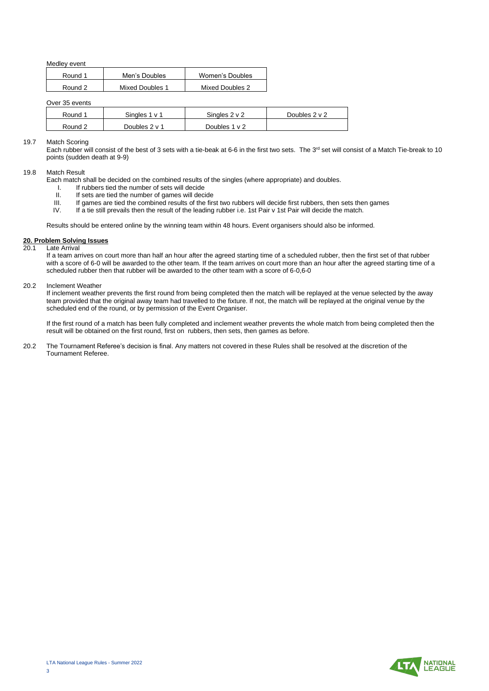Medley event

| Round 1 | Men's Doubles   | Women's Doubles |
|---------|-----------------|-----------------|
| Round 2 | Mixed Doubles 1 | Mixed Doubles 2 |

Over 35 events

| Round 1 | Sinales 1 v 1 | Singles $2 \vee 2$ | Doubles 2 v 2 |
|---------|---------------|--------------------|---------------|
| Round 2 | Doubles 2 v 1 | Doubles 1 v 2      |               |

#### 19.7 Match Scoring

Each rubber will consist of the best of 3 sets with a tie-beak at 6-6 in the first two sets. The 3<sup>rd</sup> set will consist of a Match Tie-break to 10 points (sudden death at 9-9)

#### 19.8 Match Result

- Each match shall be decided on the combined results of the singles (where appropriate) and doubles.
	- I. If rubbers tied the number of sets will decide
	- II. If sets are tied the number of games will decide<br>III. If games are tied the combined results of the firs
	- III. If games are tied the combined results of the first two rubbers will decide first rubbers, then sets then games IV. If a tie still prevails then the result of the leading rubber i.e. 1st Pair v 1st Pair will decide th
	- If a tie still prevails then the result of the leading rubber i.e. 1st Pair v 1st Pair will decide the match.

Results should be entered online by the winning team within 48 hours. Event organisers should also be informed.

#### **20. Problem Solving Issues Late Arrival**

If a team arrives on court more than half an hour after the agreed starting time of a scheduled rubber, then the first set of that rubber with a score of 6-0 will be awarded to the other team. If the team arrives on court more than an hour after the agreed starting time of a scheduled rubber then that rubber will be awarded to the other team with a score of 6-0,6-0

#### 20.2 Inclement Weather

If inclement weather prevents the first round from being completed then the match will be replayed at the venue selected by the away team provided that the original away team had travelled to the fixture. If not, the match will be replayed at the original venue by the scheduled end of the round, or by permission of the Event Organiser.

If the first round of a match has been fully completed and inclement weather prevents the whole match from being completed then the result will be obtained on the first round, first on rubbers, then sets, then games as before.

20.2 The Tournament Referee's decision is final. Any matters not covered in these Rules shall be resolved at the discretion of the Tournament Referee.